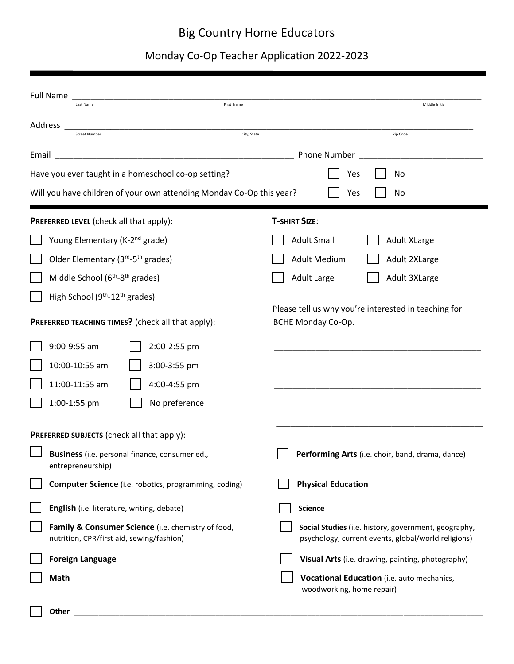## Big Country Home Educators

## Monday Co-Op Teacher Application 2022-2023

| <b>Full Name</b><br><b>First Name</b><br>Last Name                                                                                                                                                                                               | Middle Initial                                                                                              |  |  |  |
|--------------------------------------------------------------------------------------------------------------------------------------------------------------------------------------------------------------------------------------------------|-------------------------------------------------------------------------------------------------------------|--|--|--|
| Address<br>City, State<br><b>Street Number</b>                                                                                                                                                                                                   | Zip Code                                                                                                    |  |  |  |
| Email                                                                                                                                                                                                                                            | Phone Number                                                                                                |  |  |  |
| Have you ever taught in a homeschool co-op setting?                                                                                                                                                                                              | Yes<br>No                                                                                                   |  |  |  |
| Will you have children of your own attending Monday Co-Op this year?<br>Yes<br>No                                                                                                                                                                |                                                                                                             |  |  |  |
| PREFERRED LEVEL (check all that apply):                                                                                                                                                                                                          | <b>T-SHIRT SIZE:</b>                                                                                        |  |  |  |
| Young Elementary (K-2 <sup>nd</sup> grade)                                                                                                                                                                                                       | <b>Adult Small</b><br><b>Adult XLarge</b>                                                                   |  |  |  |
| Older Elementary (3rd-5 <sup>th</sup> grades)                                                                                                                                                                                                    | <b>Adult Medium</b><br>Adult 2XLarge                                                                        |  |  |  |
| Middle School (6 <sup>th</sup> -8 <sup>th</sup> grades)                                                                                                                                                                                          | <b>Adult Large</b><br>Adult 3XLarge                                                                         |  |  |  |
| High School (9 <sup>th</sup> -12 <sup>th</sup> grades)<br>PREFERRED TEACHING TIMES? (check all that apply):<br>9:00-9:55 am<br>2:00-2:55 pm<br>10:00-10:55 am<br>3:00-3:55 pm<br>11:00-11:55 am<br>4:00-4:55 pm<br>1:00-1:55 pm<br>No preference | Please tell us why you're interested in teaching for<br>BCHE Monday Co-Op.                                  |  |  |  |
| PREFERRED SUBJECTS (check all that apply):                                                                                                                                                                                                       |                                                                                                             |  |  |  |
| Business (i.e. personal finance, consumer ed.,<br>entrepreneurship)                                                                                                                                                                              | Performing Arts (i.e. choir, band, drama, dance)                                                            |  |  |  |
| <b>Computer Science</b> (i.e. robotics, programming, coding)                                                                                                                                                                                     | <b>Physical Education</b>                                                                                   |  |  |  |
| English (i.e. literature, writing, debate)                                                                                                                                                                                                       | <b>Science</b>                                                                                              |  |  |  |
| Family & Consumer Science (i.e. chemistry of food,<br>nutrition, CPR/first aid, sewing/fashion)                                                                                                                                                  | Social Studies (i.e. history, government, geography,<br>psychology, current events, global/world religions) |  |  |  |
| <b>Foreign Language</b>                                                                                                                                                                                                                          | Visual Arts (i.e. drawing, painting, photography)                                                           |  |  |  |
| <b>Math</b>                                                                                                                                                                                                                                      | Vocational Education (i.e. auto mechanics,<br>woodworking, home repair)                                     |  |  |  |

**Other** \_\_\_\_\_\_\_\_\_\_\_\_\_\_\_\_\_\_\_\_\_\_\_\_\_\_\_\_\_\_\_\_\_\_\_\_\_\_\_\_\_\_\_\_\_\_\_\_\_\_\_\_\_\_\_\_\_\_\_\_\_\_\_\_\_\_\_\_\_\_\_\_\_\_\_\_\_\_\_\_\_\_\_\_\_\_\_\_\_\_\_\_\_\_\_\_\_\_